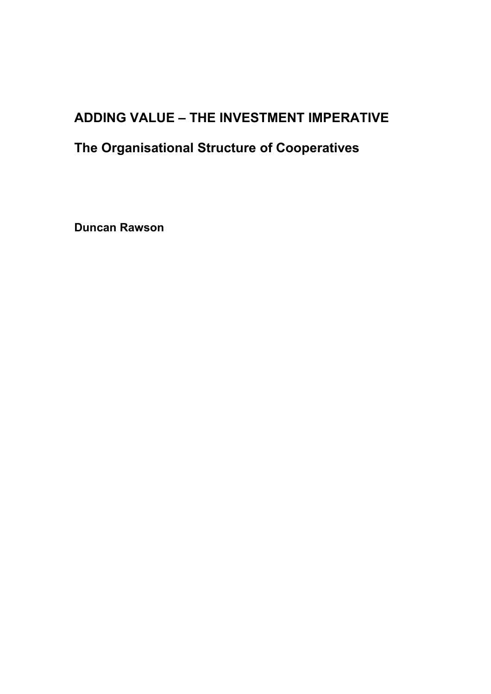# **ADDING VALUE – THE INVESTMENT IMPERATIVE**

# **The Organisational Structure of Cooperatives**

**Duncan Rawson**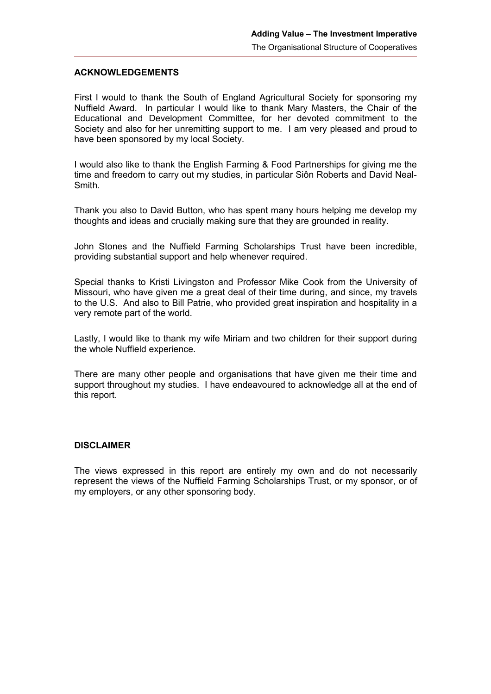#### **ACKNOWLEDGEMENTS**

First I would to thank the South of England Agricultural Society for sponsoring my Nuffield Award. In particular I would like to thank Mary Masters, the Chair of the Educational and Development Committee, for her devoted commitment to the Society and also for her unremitting support to me. I am very pleased and proud to have been sponsored by my local Society.

I would also like to thank the English Farming & Food Partnerships for giving me the time and freedom to carry out my studies, in particular Siôn Roberts and David Neal-Smith.

Thank you also to David Button, who has spent many hours helping me develop my thoughts and ideas and crucially making sure that they are grounded in reality.

John Stones and the Nuffield Farming Scholarships Trust have been incredible, providing substantial support and help whenever required.

Special thanks to Kristi Livingston and Professor Mike Cook from the University of Missouri, who have given me a great deal of their time during, and since, my travels to the U.S. And also to Bill Patrie, who provided great inspiration and hospitality in a very remote part of the world.

Lastly, I would like to thank my wife Miriam and two children for their support during the whole Nuffield experience.

There are many other people and organisations that have given me their time and support throughout my studies. I have endeavoured to acknowledge all at the end of this report.

#### **DISCLAIMER**

The views expressed in this report are entirely my own and do not necessarily represent the views of the Nuffield Farming Scholarships Trust, or my sponsor, or of my employers, or any other sponsoring body.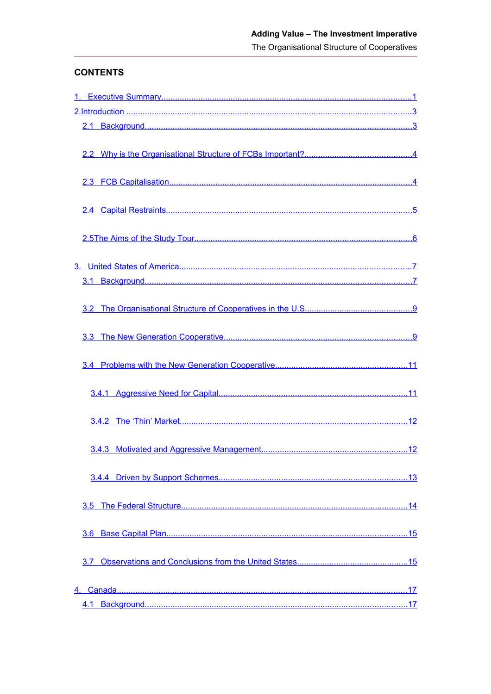<span id="page-3-15"></span><span id="page-3-14"></span><span id="page-3-13"></span><span id="page-3-12"></span><span id="page-3-11"></span><span id="page-3-10"></span><span id="page-3-9"></span><span id="page-3-8"></span><span id="page-3-7"></span><span id="page-3-6"></span><span id="page-3-5"></span><span id="page-3-4"></span><span id="page-3-3"></span><span id="page-3-2"></span><span id="page-3-1"></span><span id="page-3-0"></span>The Organisational Structure of Cooperatives

# **CONTENTS**

| 3.7 |  |
|-----|--|
|     |  |
|     |  |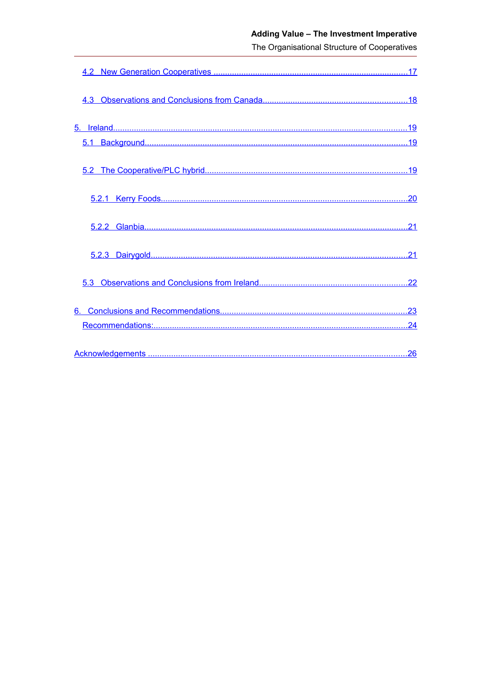# Adding Value - The Investment Imperative

<span id="page-4-9"></span><span id="page-4-8"></span><span id="page-4-7"></span><span id="page-4-6"></span><span id="page-4-5"></span><span id="page-4-4"></span><span id="page-4-3"></span><span id="page-4-2"></span><span id="page-4-1"></span><span id="page-4-0"></span>The Organisational Structure of Cooperatives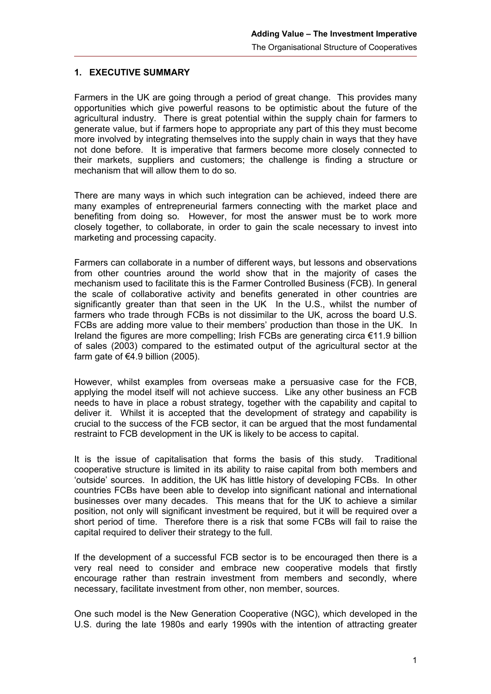#### **1. EXECUTIVE SUMMARY**

Farmers in the UK are going through a period of great change. This provides many opportunities which give powerful reasons to be optimistic about the future of the agricultural industry. There is great potential within the supply chain for farmers to generate value, but if farmers hope to appropriate any part of this they must become more involved by integrating themselves into the supply chain in ways that they have not done before. It is imperative that farmers become more closely connected to their markets, suppliers and customers; the challenge is finding a structure or mechanism that will allow them to do so.

There are many ways in which such integration can be achieved, indeed there are many examples of entrepreneurial farmers connecting with the market place and benefiting from doing so. However, for most the answer must be to work more closely together, to collaborate, in order to gain the scale necessary to invest into marketing and processing capacity.

Farmers can collaborate in a number of different ways, but lessons and observations from other countries around the world show that in the majority of cases the mechanism used to facilitate this is the Farmer Controlled Business (FCB). In general the scale of collaborative activity and benefits generated in other countries are significantly greater than that seen in the UK In the U.S., whilst the number of farmers who trade through FCBs is not dissimilar to the UK, across the board U.S. FCBs are adding more value to their members' production than those in the UK. In Ireland the figures are more compelling; Irish FCBs are generating circa €11.9 billion of sales (2003) compared to the estimated output of the agricultural sector at the farm gate of  $€4.9$  billion (2005).

However, whilst examples from overseas make a persuasive case for the FCB, applying the model itself will not achieve success. Like any other business an FCB needs to have in place a robust strategy, together with the capability and capital to deliver it. Whilst it is accepted that the development of strategy and capability is crucial to the success of the FCB sector, it can be argued that the most fundamental restraint to FCB development in the UK is likely to be access to capital.

It is the issue of capitalisation that forms the basis of this study. Traditional cooperative structure is limited in its ability to raise capital from both members and 'outside' sources. In addition, the UK has little history of developing FCBs. In other countries FCBs have been able to develop into significant national and international businesses over many decades. This means that for the UK to achieve a similar position, not only will significant investment be required, but it will be required over a short period of time. Therefore there is a risk that some FCBs will fail to raise the capital required to deliver their strategy to the full.

If the development of a successful FCB sector is to be encouraged then there is a very real need to consider and embrace new cooperative models that firstly encourage rather than restrain investment from members and secondly, where necessary, facilitate investment from other, non member, sources.

One such model is the New Generation Cooperative (NGC), which developed in the U.S. during the late 1980s and early 1990s with the intention of attracting greater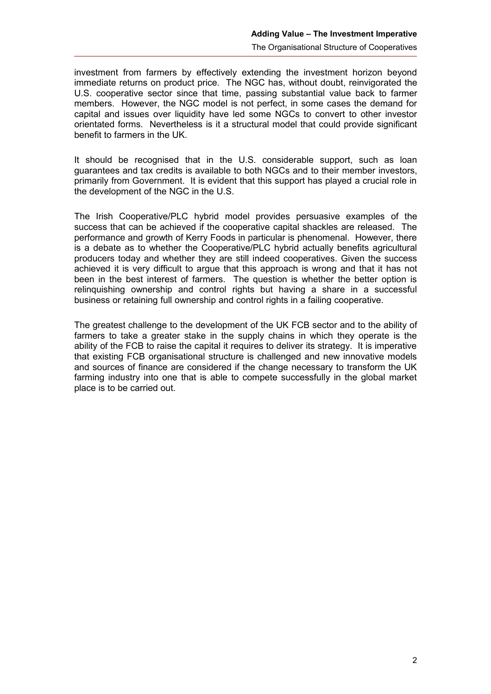investment from farmers by effectively extending the investment horizon beyond immediate returns on product price. The NGC has, without doubt, reinvigorated the U.S. cooperative sector since that time, passing substantial value back to farmer members. However, the NGC model is not perfect, in some cases the demand for capital and issues over liquidity have led some NGCs to convert to other investor orientated forms. Nevertheless is it a structural model that could provide significant benefit to farmers in the UK.

It should be recognised that in the U.S. considerable support, such as loan guarantees and tax credits is available to both NGCs and to their member investors, primarily from Government. It is evident that this support has played a crucial role in the development of the NGC in the U.S.

The Irish Cooperative/PLC hybrid model provides persuasive examples of the success that can be achieved if the cooperative capital shackles are released. The performance and growth of Kerry Foods in particular is phenomenal. However, there is a debate as to whether the Cooperative/PLC hybrid actually benefits agricultural producers today and whether they are still indeed cooperatives. Given the success achieved it is very difficult to argue that this approach is wrong and that it has not been in the best interest of farmers. The question is whether the better option is relinquishing ownership and control rights but having a share in a successful business or retaining full ownership and control rights in a failing cooperative.

The greatest challenge to the development of the UK FCB sector and to the ability of farmers to take a greater stake in the supply chains in which they operate is the ability of the FCB to raise the capital it requires to deliver its strategy. It is imperative that existing FCB organisational structure is challenged and new innovative models and sources of finance are considered if the change necessary to transform the UK farming industry into one that is able to compete successfully in the global market place is to be carried out.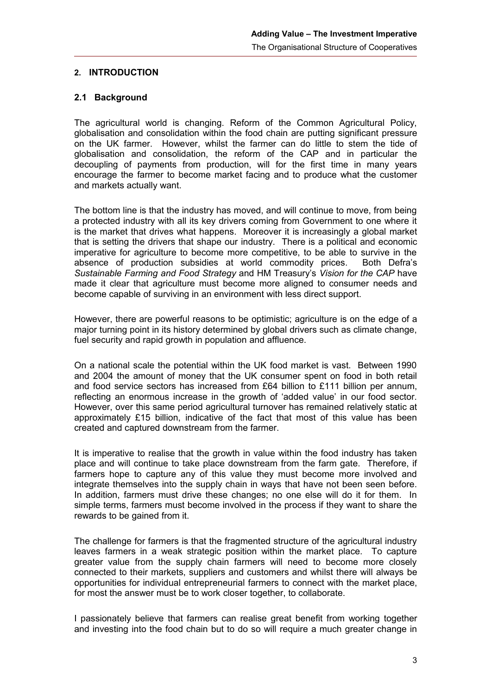#### <span id="page-8-1"></span>**2. INTRODUCTION**

#### <span id="page-8-0"></span>**2.1 Background**

The agricultural world is changing. Reform of the Common Agricultural Policy, globalisation and consolidation within the food chain are putting significant pressure on the UK farmer. However, whilst the farmer can do little to stem the tide of globalisation and consolidation, the reform of the CAP and in particular the decoupling of payments from production, will for the first time in many years encourage the farmer to become market facing and to produce what the customer and markets actually want.

The bottom line is that the industry has moved, and will continue to move, from being a protected industry with all its key drivers coming from Government to one where it is the market that drives what happens. Moreover it is increasingly a global market that is setting the drivers that shape our industry. There is a political and economic imperative for agriculture to become more competitive, to be able to survive in the absence of production subsidies at world commodity prices. Both Defra's *Sustainable Farming and Food Strategy* and HM Treasury's *Vision for the CAP* have made it clear that agriculture must become more aligned to consumer needs and become capable of surviving in an environment with less direct support.

However, there are powerful reasons to be optimistic; agriculture is on the edge of a major turning point in its history determined by global drivers such as climate change, fuel security and rapid growth in population and affluence.

On a national scale the potential within the UK food market is vast. Between 1990 and 2004 the amount of money that the UK consumer spent on food in both retail and food service sectors has increased from  $£64$  billion to  $£111$  billion per annum, reflecting an enormous increase in the growth of 'added value' in our food sector. However, over this same period agricultural turnover has remained relatively static at approximately £15 billion, indicative of the fact that most of this value has been created and captured downstream from the farmer.

It is imperative to realise that the growth in value within the food industry has taken place and will continue to take place downstream from the farm gate. Therefore, if farmers hope to capture any of this value they must become more involved and integrate themselves into the supply chain in ways that have not been seen before. In addition, farmers must drive these changes; no one else will do it for them. In simple terms, farmers must become involved in the process if they want to share the rewards to be gained from it.

The challenge for farmers is that the fragmented structure of the agricultural industry leaves farmers in a weak strategic position within the market place. To capture greater value from the supply chain farmers will need to become more closely connected to their markets, suppliers and customers and whilst there will always be opportunities for individual entrepreneurial farmers to connect with the market place, for most the answer must be to work closer together, to collaborate.

I passionately believe that farmers can realise great benefit from working together and investing into the food chain but to do so will require a much greater change in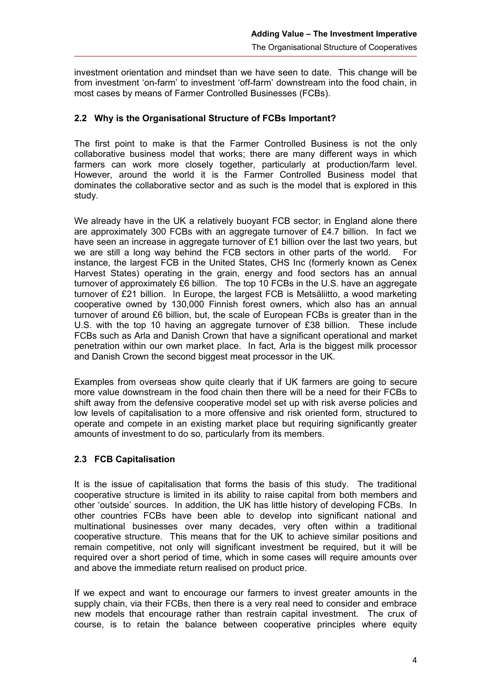investment orientation and mindset than we have seen to date. This change will be from investment 'on-farm' to investment 'off-farm' downstream into the food chain, in most cases by means of Farmer Controlled Businesses (FCBs).

## **2.2 Why is the Organisational Structure of FCBs Important?**

The first point to make is that the Farmer Controlled Business is not the only collaborative business model that works; there are many different ways in which farmers can work more closely together, particularly at production/farm level. However, around the world it is the Farmer Controlled Business model that dominates the collaborative sector and as such is the model that is explored in this study.

We already have in the UK a relatively buoyant FCB sector; in England alone there are approximately 300 FCBs with an aggregate turnover of £4.7 billion. In fact we have seen an increase in aggregate turnover of £1 billion over the last two years, but we are still a long way behind the FCB sectors in other parts of the world. For instance, the largest FCB in the United States, CHS Inc (formerly known as Cenex Harvest States) operating in the grain, energy and food sectors has an annual turnover of approximately £6 billion. The top 10 FCBs in the U.S. have an aggregate turnover of £21 billion. In Europe, the largest FCB is Metsäliitto, a wood marketing cooperative owned by 130,000 Finnish forest owners, which also has an annual turnover of around £6 billion, but, the scale of European FCBs is greater than in the U.S. with the top 10 having an aggregate turnover of £38 billion. These include FCBs such as Arla and Danish Crown that have a significant operational and market penetration within our own market place. In fact, Arla is the biggest milk processor and Danish Crown the second biggest meat processor in the UK.

Examples from overseas show quite clearly that if UK farmers are going to secure more value downstream in the food chain then there will be a need for their FCBs to shift away from the defensive cooperative model set up with risk averse policies and low levels of capitalisation to a more offensive and risk oriented form, structured to operate and compete in an existing market place but requiring significantly greater amounts of investment to do so, particularly from its members.

#### **2.3 FCB Capitalisation**

It is the issue of capitalisation that forms the basis of this study. The traditional cooperative structure is limited in its ability to raise capital from both members and other 'outside' sources. In addition, the UK has little history of developing FCBs. In other countries FCBs have been able to develop into significant national and multinational businesses over many decades, very often within a traditional cooperative structure. This means that for the UK to achieve similar positions and remain competitive, not only will significant investment be required, but it will be required over a short period of time, which in some cases will require amounts over and above the immediate return realised on product price.

If we expect and want to encourage our farmers to invest greater amounts in the supply chain, via their FCBs, then there is a very real need to consider and embrace new models that encourage rather than restrain capital investment. The crux of course, is to retain the balance between cooperative principles where equity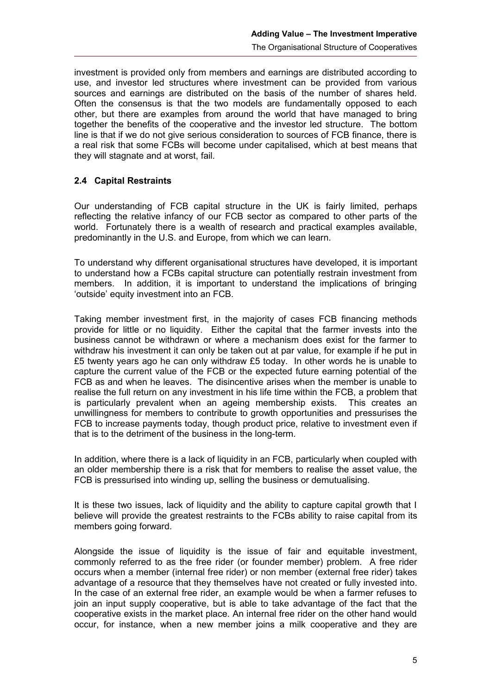investment is provided only from members and earnings are distributed according to use, and investor led structures where investment can be provided from various sources and earnings are distributed on the basis of the number of shares held. Often the consensus is that the two models are fundamentally opposed to each other, but there are examples from around the world that have managed to bring together the benefits of the cooperative and the investor led structure. The bottom line is that if we do not give serious consideration to sources of FCB finance, there is a real risk that some FCBs will become under capitalised, which at best means that they will stagnate and at worst, fail.

## **2.4 Capital Restraints**

Our understanding of FCB capital structure in the UK is fairly limited, perhaps reflecting the relative infancy of our FCB sector as compared to other parts of the world. Fortunately there is a wealth of research and practical examples available, predominantly in the U.S. and Europe, from which we can learn.

To understand why different organisational structures have developed, it is important to understand how a FCBs capital structure can potentially restrain investment from members. In addition, it is important to understand the implications of bringing 'outside' equity investment into an FCB.

Taking member investment first, in the majority of cases FCB financing methods provide for little or no liquidity. Either the capital that the farmer invests into the business cannot be withdrawn or where a mechanism does exist for the farmer to withdraw his investment it can only be taken out at par value, for example if he put in £5 twenty years ago he can only withdraw £5 today. In other words he is unable to capture the current value of the FCB or the expected future earning potential of the FCB as and when he leaves. The disincentive arises when the member is unable to realise the full return on any investment in his life time within the FCB, a problem that is particularly prevalent when an ageing membership exists. This creates an unwillingness for members to contribute to growth opportunities and pressurises the FCB to increase payments today, though product price, relative to investment even if that is to the detriment of the business in the long-term.

In addition, where there is a lack of liquidity in an FCB, particularly when coupled with an older membership there is a risk that for members to realise the asset value, the FCB is pressurised into winding up, selling the business or demutualising.

It is these two issues, lack of liquidity and the ability to capture capital growth that I believe will provide the greatest restraints to the FCBs ability to raise capital from its members going forward.

Alongside the issue of liquidity is the issue of fair and equitable investment, commonly referred to as the free rider (or founder member) problem. A free rider occurs when a member (internal free rider) or non member (external free rider) takes advantage of a resource that they themselves have not created or fully invested into. In the case of an external free rider, an example would be when a farmer refuses to join an input supply cooperative, but is able to take advantage of the fact that the cooperative exists in the market place. An internal free rider on the other hand would occur, for instance, when a new member joins a milk cooperative and they are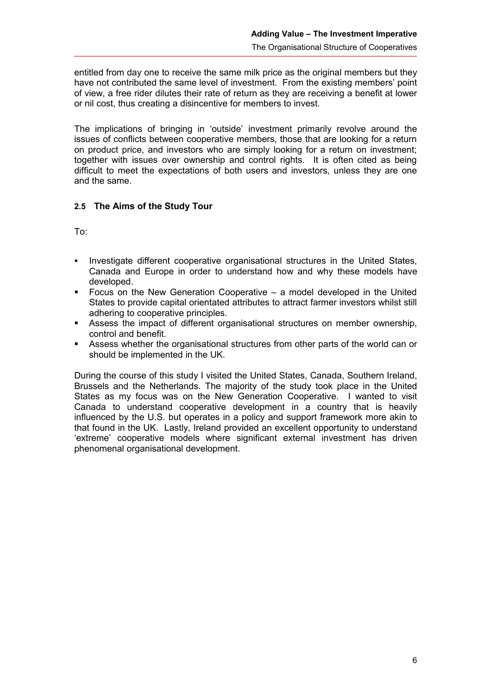entitled from day one to receive the same milk price as the original members but they have not contributed the same level of investment. From the existing members' point of view, a free rider dilutes their rate of return as they are receiving a benefit at lower or nil cost, thus creating a disincentive for members to invest.

The implications of bringing in 'outside' investment primarily revolve around the issues of conflicts between cooperative members, those that are looking for a return on product price, and investors who are simply looking for a return on investment; together with issues over ownership and control rights. It is often cited as being difficult to meet the expectations of both users and investors, unless they are one and the same.

## <span id="page-11-0"></span>**2.5 The Aims of the Study Tour**

To:

- Investigate different cooperative organisational structures in the United States, Canada and Europe in order to understand how and why these models have developed.
- Focus on the New Generation Cooperative a model developed in the United States to provide capital orientated attributes to attract farmer investors whilst still adhering to cooperative principles.
- Assess the impact of different organisational structures on member ownership, control and benefit.
- Assess whether the organisational structures from other parts of the world can or should be implemented in the UK.

During the course of this study I visited the United States, Canada, Southern Ireland, Brussels and the Netherlands. The majority of the study took place in the United States as my focus was on the New Generation Cooperative. I wanted to visit Canada to understand cooperative development in a country that is heavily influenced by the U.S. but operates in a policy and support framework more akin to that found in the UK. Lastly, Ireland provided an excellent opportunity to understand 'extreme' cooperative models where significant external investment has driven phenomenal organisational development.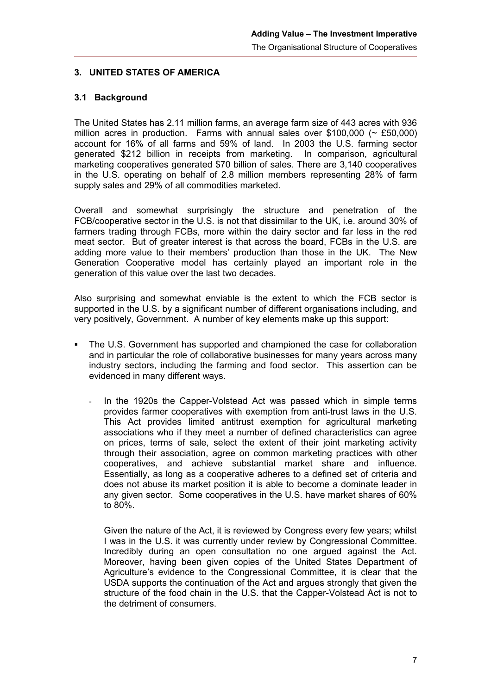## **3. UNITED STATES OF AMERICA**

#### **3.1 Background**

The United States has 2.11 million farms, an average farm size of 443 acres with 936 million acres in production. Farms with annual sales over \$100,000 ( $\sim$  £50,000) account for 16% of all farms and 59% of land. In 2003 the U.S. farming sector generated \$212 billion in receipts from marketing. In comparison, agricultural marketing cooperatives generated \$70 billion of sales. There are 3,140 cooperatives in the U.S. operating on behalf of 2.8 million members representing 28% of farm supply sales and 29% of all commodities marketed.

Overall and somewhat surprisingly the structure and penetration of the FCB/cooperative sector in the U.S. is not that dissimilar to the UK, i.e. around 30% of farmers trading through FCBs, more within the dairy sector and far less in the red meat sector. But of greater interest is that across the board, FCBs in the U.S. are adding more value to their members' production than those in the UK. The New Generation Cooperative model has certainly played an important role in the generation of this value over the last two decades.

Also surprising and somewhat enviable is the extent to which the FCB sector is supported in the U.S. by a significant number of different organisations including, and very positively, Government. A number of key elements make up this support:

- The U.S. Government has supported and championed the case for collaboration and in particular the role of collaborative businesses for many years across many industry sectors, including the farming and food sector. This assertion can be evidenced in many different ways.
	- In the 1920s the Capper-Volstead Act was passed which in simple terms provides farmer cooperatives with exemption from anti-trust laws in the U.S. This Act provides limited antitrust exemption for agricultural marketing associations who if they meet a number of defined characteristics can agree on prices, terms of sale, select the extent of their joint marketing activity through their association, agree on common marketing practices with other cooperatives, and achieve substantial market share and influence. Essentially, as long as a cooperative adheres to a defined set of criteria and does not abuse its market position it is able to become a dominate leader in any given sector. Some cooperatives in the U.S. have market shares of 60% to 80%.

Given the nature of the Act, it is reviewed by Congress every few years; whilst I was in the U.S. it was currently under review by Congressional Committee. Incredibly during an open consultation no one argued against the Act. Moreover, having been given copies of the United States Department of Agriculture's evidence to the Congressional Committee, it is clear that the USDA supports the continuation of the Act and argues strongly that given the structure of the food chain in the U.S. that the Capper-Volstead Act is not to the detriment of consumers.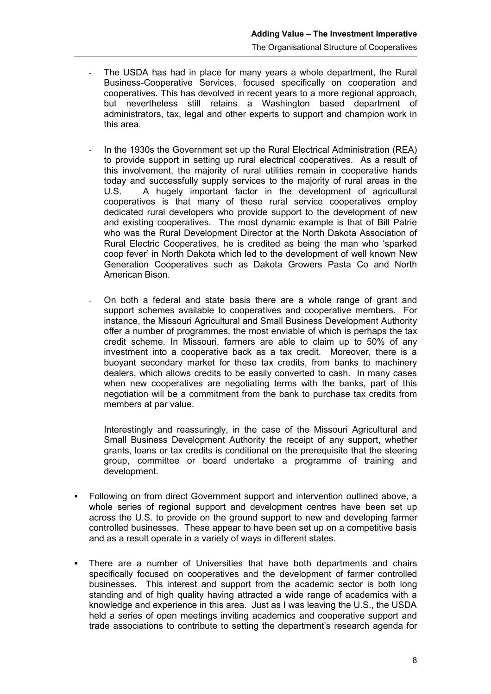- The USDA has had in place for many years a whole department, the Rural Business-Cooperative Services, focused specifically on cooperation and cooperatives. This has devolved in recent years to a more regional approach, but nevertheless still retains a Washington based department of administrators, tax, legal and other experts to support and champion work in this area.
- In the 1930s the Government set up the Rural Electrical Administration (REA) to provide support in setting up rural electrical cooperatives. As a result of this involvement, the majority of rural utilities remain in cooperative hands today and successfully supply services to the majority of rural areas in the U.S. A hugely important factor in the development of agricultural cooperatives is that many of these rural service cooperatives employ dedicated rural developers who provide support to the development of new and existing cooperatives. The most dynamic example is that of Bill Patrie who was the Rural Development Director at the North Dakota Association of Rural Electric Cooperatives, he is credited as being the man who 'sparked coop fever' in North Dakota which led to the development of well known New Generation Cooperatives such as Dakota Growers Pasta Co and North American Bison.
- On both a federal and state basis there are a whole range of grant and support schemes available to cooperatives and cooperative members. For instance, the Missouri Agricultural and Small Business Development Authority offer a number of programmes, the most enviable of which is perhaps the tax credit scheme. In Missouri, farmers are able to claim up to 50% of any investment into a cooperative back as a tax credit. Moreover, there is a buoyant secondary market for these tax credits, from banks to machinery dealers, which allows credits to be easily converted to cash. In many cases when new cooperatives are negotiating terms with the banks, part of this negotiation will be a commitment from the bank to purchase tax credits from members at par value.

Interestingly and reassuringly, in the case of the Missouri Agricultural and Small Business Development Authority the receipt of any support, whether grants, loans or tax credits is conditional on the prerequisite that the steering group, committee or board undertake a programme of training and development.

- Following on from direct Government support and intervention outlined above, a whole series of regional support and development centres have been set up across the U.S. to provide on the ground support to new and developing farmer controlled businesses. These appear to have been set up on a competitive basis and as a result operate in a variety of ways in different states.
- There are a number of Universities that have both departments and chairs specifically focused on cooperatives and the development of farmer controlled businesses. This interest and support from the academic sector is both long standing and of high quality having attracted a wide range of academics with a knowledge and experience in this area. Just as I was leaving the U.S., the USDA held a series of open meetings inviting academics and cooperative support and trade associations to contribute to setting the department's research agenda for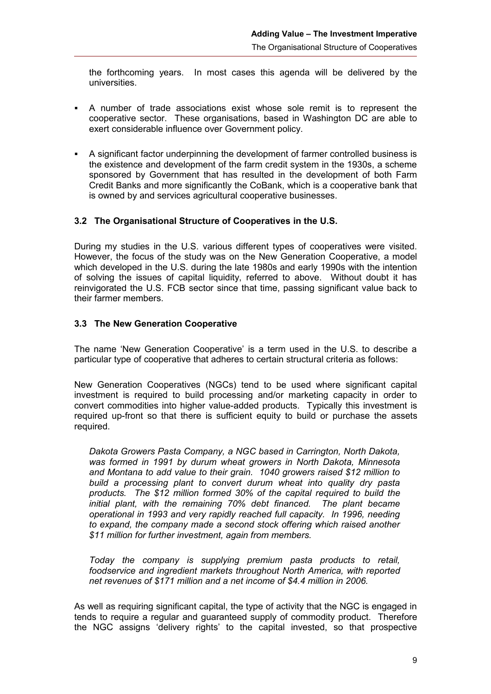the forthcoming years. In most cases this agenda will be delivered by the universities.

- A number of trade associations exist whose sole remit is to represent the cooperative sector. These organisations, based in Washington DC are able to exert considerable influence over Government policy.
- A significant factor underpinning the development of farmer controlled business is the existence and development of the farm credit system in the 1930s, a scheme sponsored by Government that has resulted in the development of both Farm Credit Banks and more significantly the CoBank, which is a cooperative bank that is owned by and services agricultural cooperative businesses.

#### **3.2 The Organisational Structure of Cooperatives in the U.S.**

During my studies in the U.S. various different types of cooperatives were visited. However, the focus of the study was on the New Generation Cooperative, a model which developed in the U.S. during the late 1980s and early 1990s with the intention of solving the issues of capital liquidity, referred to above. Without doubt it has reinvigorated the U.S. FCB sector since that time, passing significant value back to their farmer members.

#### <span id="page-14-0"></span>**3.3 The New Generation Cooperative**

The name 'New Generation Cooperative' is a term used in the U.S. to describe a particular type of cooperative that adheres to certain structural criteria as follows:

New Generation Cooperatives (NGCs) tend to be used where significant capital investment is required to build processing and/or marketing capacity in order to convert commodities into higher value-added products. Typically this investment is required up-front so that there is sufficient equity to build or purchase the assets required.

*Dakota Growers Pasta Company, a NGC based in Carrington, North Dakota, was formed in 1991 by durum wheat growers in North Dakota, Minnesota and Montana to add value to their grain. 1040 growers raised \$12 million to build a processing plant to convert durum wheat into quality dry pasta products. The \$12 million formed 30% of the capital required to build the initial plant, with the remaining 70% debt financed. The plant became operational in 1993 and very rapidly reached full capacity. In 1996, needing to expand, the company made a second stock offering which raised another \$11 million for further investment, again from members.*

*Today the company is supplying premium pasta products to retail, foodservice and ingredient markets throughout North America, with reported net revenues of \$171 million and a net income of \$4.4 million in 2006.*

As well as requiring significant capital, the type of activity that the NGC is engaged in tends to require a regular and guaranteed supply of commodity product. Therefore the NGC assigns 'delivery rights' to the capital invested, so that prospective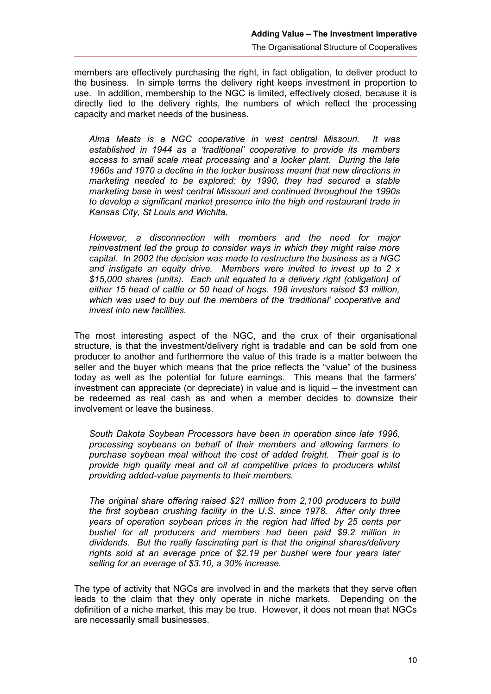members are effectively purchasing the right, in fact obligation, to deliver product to the business. In simple terms the delivery right keeps investment in proportion to use. In addition, membership to the NGC is limited, effectively closed, because it is directly tied to the delivery rights, the numbers of which reflect the processing capacity and market needs of the business.

*Alma Meats is a NGC cooperative in west central Missouri. It was established in 1944 as a 'traditional' cooperative to provide its members access to small scale meat processing and a locker plant. During the late 1960s and 1970 a decline in the locker business meant that new directions in marketing needed to be explored; by 1990, they had secured a stable marketing base in west central Missouri and continued throughout the 1990s to develop a significant market presence into the high end restaurant trade in Kansas City, St Louis and Wichita.* 

*However, a disconnection with members and the need for major reinvestment led the group to consider ways in which they might raise more capital. In 2002 the decision was made to restructure the business as a NGC and instigate an equity drive. Members were invited to invest up to 2 x \$15,000 shares (units). Each unit equated to a delivery right (obligation) of either 15 head of cattle or 50 head of hogs. 198 investors raised \$3 million, which was used to buy out the members of the 'traditional' cooperative and invest into new facilities.*

The most interesting aspect of the NGC, and the crux of their organisational structure, is that the investment/delivery right is tradable and can be sold from one producer to another and furthermore the value of this trade is a matter between the seller and the buyer which means that the price reflects the "value" of the business today as well as the potential for future earnings. This means that the farmers' investment can appreciate (or depreciate) in value and is liquid – the investment can be redeemed as real cash as and when a member decides to downsize their involvement or leave the business.

*South Dakota Soybean Processors have been in operation since late 1996, processing soybeans on behalf of their members and allowing farmers to purchase soybean meal without the cost of added freight. Their goal is to provide high quality meal and oil at competitive prices to producers whilst providing added-value payments to their members.* 

*The original share offering raised \$21 million from 2,100 producers to build the first soybean crushing facility in the U.S. since 1978. After only three years of operation soybean prices in the region had lifted by 25 cents per bushel for all producers and members had been paid \$9.2 million in dividends. But the really fascinating part is that the original shares/delivery rights sold at an average price of \$2.19 per bushel were four years later selling for an average of \$3.10, a 30% increase.*

The type of activity that NGCs are involved in and the markets that they serve often leads to the claim that they only operate in niche markets. Depending on the definition of a niche market, this may be true. However, it does not mean that NGCs are necessarily small businesses.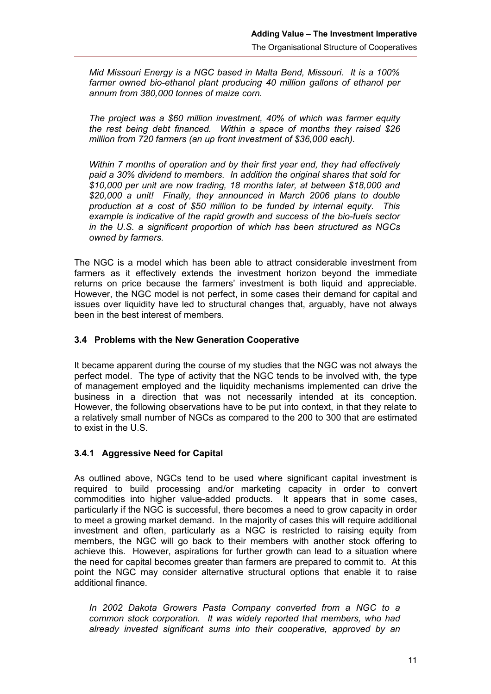*Mid Missouri Energy is a NGC based in Malta Bend, Missouri. It is a 100% farmer owned bio-ethanol plant producing 40 million gallons of ethanol per annum from 380,000 tonnes of maize corn.* 

*The project was a \$60 million investment, 40% of which was farmer equity the rest being debt financed. Within a space of months they raised \$26 million from 720 farmers (an up front investment of \$36,000 each).*

*Within 7 months of operation and by their first year end, they had effectively paid a 30% dividend to members. In addition the original shares that sold for \$10,000 per unit are now trading, 18 months later, at between \$18,000 and \$20,000 a unit! Finally, they announced in March 2006 plans to double production at a cost of \$50 million to be funded by internal equity. This example is indicative of the rapid growth and success of the bio-fuels sector in the U.S. a significant proportion of which has been structured as NGCs owned by farmers.*

The NGC is a model which has been able to attract considerable investment from farmers as it effectively extends the investment horizon beyond the immediate returns on price because the farmers' investment is both liquid and appreciable. However, the NGC model is not perfect, in some cases their demand for capital and issues over liquidity have led to structural changes that, arguably, have not always been in the best interest of members.

#### **3.4 Problems with the New Generation Cooperative**

It became apparent during the course of my studies that the NGC was not always the perfect model. The type of activity that the NGC tends to be involved with, the type of management employed and the liquidity mechanisms implemented can drive the business in a direction that was not necessarily intended at its conception. However, the following observations have to be put into context, in that they relate to a relatively small number of NGCs as compared to the 200 to 300 that are estimated to exist in the U.S.

#### **3.4.1 Aggressive Need for Capital**

As outlined above, NGCs tend to be used where significant capital investment is required to build processing and/or marketing capacity in order to convert commodities into higher value-added products. It appears that in some cases, particularly if the NGC is successful, there becomes a need to grow capacity in order to meet a growing market demand. In the majority of cases this will require additional investment and often, particularly as a NGC is restricted to raising equity from members, the NGC will go back to their members with another stock offering to achieve this. However, aspirations for further growth can lead to a situation where the need for capital becomes greater than farmers are prepared to commit to. At this point the NGC may consider alternative structural options that enable it to raise additional finance.

*In 2002 Dakota Growers Pasta Company converted from a NGC to a common stock corporation. It was widely reported that members, who had already invested significant sums into their cooperative, approved by an*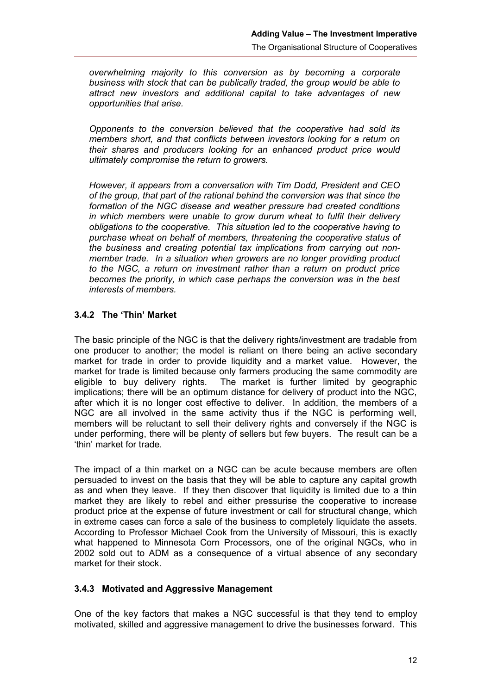*overwhelming majority to this conversion as by becoming a corporate business with stock that can be publically traded, the group would be able to attract new investors and additional capital to take advantages of new opportunities that arise.* 

*Opponents to the conversion believed that the cooperative had sold its members short, and that conflicts between investors looking for a return on their shares and producers looking for an enhanced product price would ultimately compromise the return to growers.*

*However, it appears from a conversation with Tim Dodd, President and CEO of the group, that part of the rational behind the conversion was that since the formation of the NGC disease and weather pressure had created conditions in which members were unable to grow durum wheat to fulfil their delivery obligations to the cooperative. This situation led to the cooperative having to purchase wheat on behalf of members, threatening the cooperative status of the business and creating potential tax implications from carrying out nonmember trade. In a situation when growers are no longer providing product to the NGC, a return on investment rather than a return on product price becomes the priority, in which case perhaps the conversion was in the best interests of members.* 

# **3.4.2 The 'Thin' Market**

The basic principle of the NGC is that the delivery rights/investment are tradable from one producer to another; the model is reliant on there being an active secondary market for trade in order to provide liquidity and a market value. However, the market for trade is limited because only farmers producing the same commodity are eligible to buy delivery rights. The market is further limited by geographic implications; there will be an optimum distance for delivery of product into the NGC, after which it is no longer cost effective to deliver. In addition, the members of a NGC are all involved in the same activity thus if the NGC is performing well, members will be reluctant to sell their delivery rights and conversely if the NGC is under performing, there will be plenty of sellers but few buyers. The result can be a 'thin' market for trade.

The impact of a thin market on a NGC can be acute because members are often persuaded to invest on the basis that they will be able to capture any capital growth as and when they leave. If they then discover that liquidity is limited due to a thin market they are likely to rebel and either pressurise the cooperative to increase product price at the expense of future investment or call for structural change, which in extreme cases can force a sale of the business to completely liquidate the assets. According to Professor Michael Cook from the University of Missouri, this is exactly what happened to Minnesota Corn Processors, one of the original NGCs, who in 2002 sold out to ADM as a consequence of a virtual absence of any secondary market for their stock.

#### <span id="page-17-0"></span>**3.4.3 Motivated and Aggressive Management**

One of the key factors that makes a NGC successful is that they tend to employ motivated, skilled and aggressive management to drive the businesses forward. This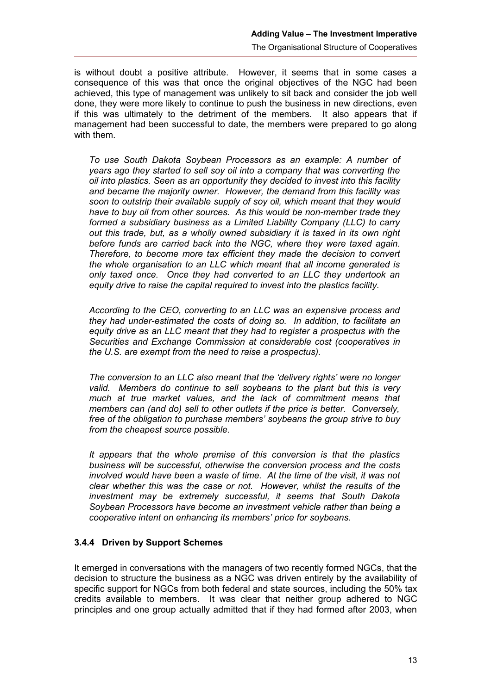is without doubt a positive attribute. However, it seems that in some cases a consequence of this was that once the original objectives of the NGC had been achieved, this type of management was unlikely to sit back and consider the job well done, they were more likely to continue to push the business in new directions, even if this was ultimately to the detriment of the members. It also appears that if management had been successful to date, the members were prepared to go along with them.

*To use South Dakota Soybean Processors as an example: A number of years ago they started to sell soy oil into a company that was converting the oil into plastics. Seen as an opportunity they decided to invest into this facility and became the majority owner. However, the demand from this facility was soon to outstrip their available supply of soy oil, which meant that they would have to buy oil from other sources. As this would be non-member trade they formed a subsidiary business as a Limited Liability Company (LLC) to carry out this trade, but, as a wholly owned subsidiary it is taxed in its own right before funds are carried back into the NGC, where they were taxed again. Therefore, to become more tax efficient they made the decision to convert the whole organisation to an LLC which meant that all income generated is only taxed once. Once they had converted to an LLC they undertook an equity drive to raise the capital required to invest into the plastics facility.* 

*According to the CEO, converting to an LLC was an expensive process and they had under-estimated the costs of doing so. In addition, to facilitate an equity drive as an LLC meant that they had to register a prospectus with the Securities and Exchange Commission at considerable cost (cooperatives in the U.S. are exempt from the need to raise a prospectus).* 

*The conversion to an LLC also meant that the 'delivery rights' were no longer valid. Members do continue to sell soybeans to the plant but this is very much at true market values, and the lack of commitment means that members can (and do) sell to other outlets if the price is better. Conversely, free of the obligation to purchase members' soybeans the group strive to buy from the cheapest source possible.*

*It appears that the whole premise of this conversion is that the plastics business will be successful, otherwise the conversion process and the costs involved would have been a waste of time. At the time of the visit, it was not clear whether this was the case or not. However, whilst the results of the investment may be extremely successful, it seems that South Dakota Soybean Processors have become an investment vehicle rather than being a cooperative intent on enhancing its members' price for soybeans.*

#### **3.4.4 Driven by Support Schemes**

It emerged in conversations with the managers of two recently formed NGCs, that the decision to structure the business as a NGC was driven entirely by the availability of specific support for NGCs from both federal and state sources, including the 50% tax credits available to members. It was clear that neither group adhered to NGC principles and one group actually admitted that if they had formed after 2003, when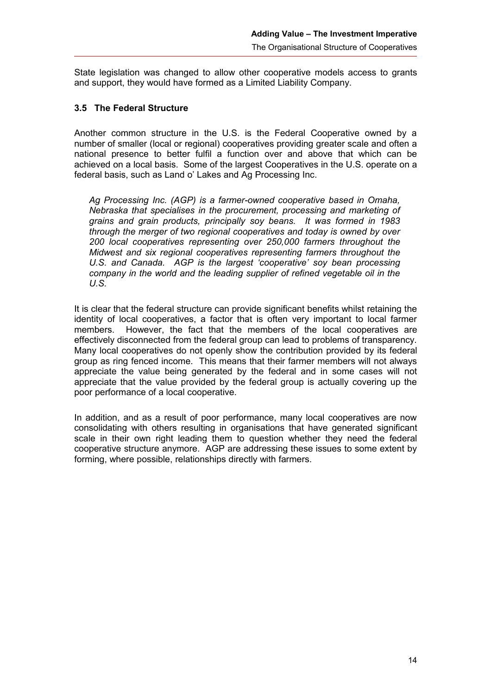State legislation was changed to allow other cooperative models access to grants and support, they would have formed as a Limited Liability Company.

#### **3.5 The Federal Structure**

Another common structure in the U.S. is the Federal Cooperative owned by a number of smaller (local or regional) cooperatives providing greater scale and often a national presence to better fulfil a function over and above that which can be achieved on a local basis. Some of the largest Cooperatives in the U.S. operate on a federal basis, such as Land o' Lakes and Ag Processing Inc.

*Ag Processing Inc. (AGP) is a farmer-owned cooperative based in Omaha, Nebraska that specialises in the procurement, processing and marketing of grains and grain products, principally soy beans. It was formed in 1983 through the merger of two regional cooperatives and today is owned by over 200 local cooperatives representing over 250,000 farmers throughout the Midwest and six regional cooperatives representing farmers throughout the U.S. and Canada. AGP is the largest 'cooperative' soy bean processing company in the world and the leading supplier of refined vegetable oil in the U.S.*

It is clear that the federal structure can provide significant benefits whilst retaining the identity of local cooperatives, a factor that is often very important to local farmer members. However, the fact that the members of the local cooperatives are effectively disconnected from the federal group can lead to problems of transparency. Many local cooperatives do not openly show the contribution provided by its federal group as ring fenced income. This means that their farmer members will not always appreciate the value being generated by the federal and in some cases will not appreciate that the value provided by the federal group is actually covering up the poor performance of a local cooperative.

In addition, and as a result of poor performance, many local cooperatives are now consolidating with others resulting in organisations that have generated significant scale in their own right leading them to question whether they need the federal cooperative structure anymore. AGP are addressing these issues to some extent by forming, where possible, relationships directly with farmers.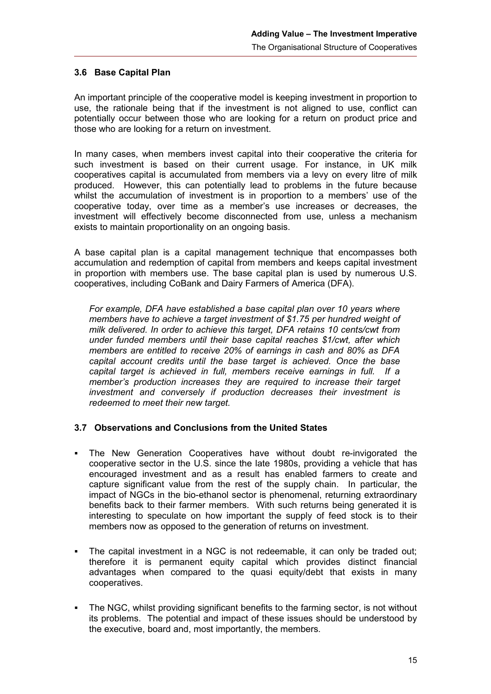#### **3.6 Base Capital Plan**

An important principle of the cooperative model is keeping investment in proportion to use, the rationale being that if the investment is not aligned to use, conflict can potentially occur between those who are looking for a return on product price and those who are looking for a return on investment.

In many cases, when members invest capital into their cooperative the criteria for such investment is based on their current usage. For instance, in UK milk cooperatives capital is accumulated from members via a levy on every litre of milk produced. However, this can potentially lead to problems in the future because whilst the accumulation of investment is in proportion to a members' use of the cooperative today, over time as a member's use increases or decreases, the investment will effectively become disconnected from use, unless a mechanism exists to maintain proportionality on an ongoing basis.

A base capital plan is a capital management technique that encompasses both accumulation and redemption of capital from members and keeps capital investment in proportion with members use. The base capital plan is used by numerous U.S. cooperatives, including CoBank and Dairy Farmers of America (DFA).

*For example, DFA have established a base capital plan over 10 years where members have to achieve a target investment of \$1.75 per hundred weight of milk delivered. In order to achieve this target, DFA retains 10 cents/cwt from under funded members until their base capital reaches \$1/cwt, after which members are entitled to receive 20% of earnings in cash and 80% as DFA capital account credits until the base target is achieved. Once the base capital target is achieved in full, members receive earnings in full. If a member's production increases they are required to increase their target investment and conversely if production decreases their investment is redeemed to meet their new target.* 

#### **3.7 Observations and Conclusions from the United States**

- The New Generation Cooperatives have without doubt re-invigorated the cooperative sector in the U.S. since the late 1980s, providing a vehicle that has encouraged investment and as a result has enabled farmers to create and capture significant value from the rest of the supply chain. In particular, the impact of NGCs in the bio-ethanol sector is phenomenal, returning extraordinary benefits back to their farmer members. With such returns being generated it is interesting to speculate on how important the supply of feed stock is to their members now as opposed to the generation of returns on investment.
- The capital investment in a NGC is not redeemable, it can only be traded out; therefore it is permanent equity capital which provides distinct financial advantages when compared to the quasi equity/debt that exists in many cooperatives.
- The NGC, whilst providing significant benefits to the farming sector, is not without its problems. The potential and impact of these issues should be understood by the executive, board and, most importantly, the members.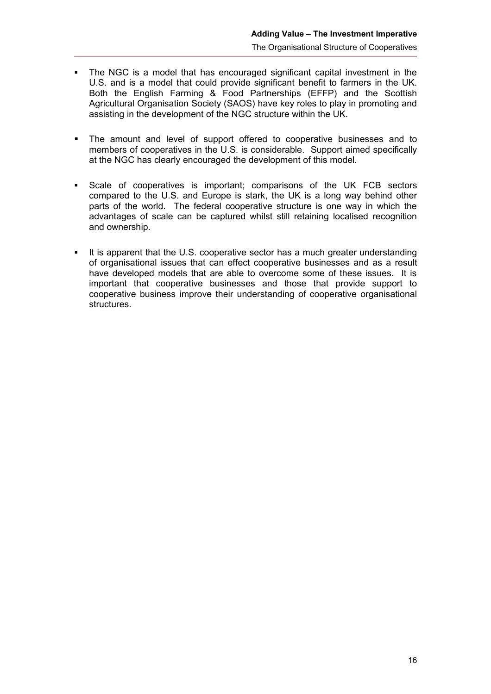- The NGC is a model that has encouraged significant capital investment in the U.S. and is a model that could provide significant benefit to farmers in the UK. Both the English Farming & Food Partnerships (EFFP) and the Scottish Agricultural Organisation Society (SAOS) have key roles to play in promoting and assisting in the development of the NGC structure within the UK.
- The amount and level of support offered to cooperative businesses and to members of cooperatives in the U.S. is considerable. Support aimed specifically at the NGC has clearly encouraged the development of this model.
- Scale of cooperatives is important; comparisons of the UK FCB sectors compared to the U.S. and Europe is stark, the UK is a long way behind other parts of the world. The federal cooperative structure is one way in which the advantages of scale can be captured whilst still retaining localised recognition and ownership.
- It is apparent that the U.S. cooperative sector has a much greater understanding of organisational issues that can effect cooperative businesses and as a result have developed models that are able to overcome some of these issues. It is important that cooperative businesses and those that provide support to cooperative business improve their understanding of cooperative organisational structures.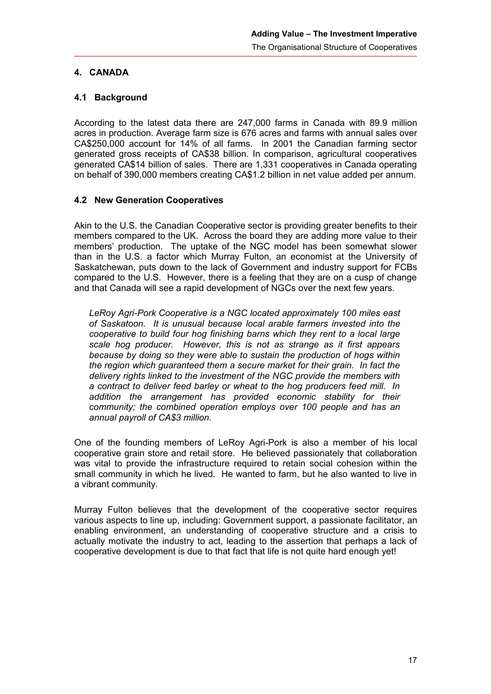# **4. CANADA**

#### **4.1 Background**

According to the latest data there are 247,000 farms in Canada with 89.9 million acres in production. Average farm size is 676 acres and farms with annual sales over CA\$250,000 account for 14% of all farms. In 2001 the Canadian farming sector generated gross receipts of CA\$38 billion. In comparison, agricultural cooperatives generated CA\$14 billion of sales. There are 1,331 cooperatives in Canada operating on behalf of 390,000 members creating CA\$1.2 billion in net value added per annum.

## **4.2 New Generation Cooperatives**

Akin to the U.S. the Canadian Cooperative sector is providing greater benefits to their members compared to the UK. Across the board they are adding more value to their members' production. The uptake of the NGC model has been somewhat slower than in the U.S. a factor which Murray Fulton, an economist at the University of Saskatchewan, puts down to the lack of Government and industry support for FCBs compared to the U.S. However, there is a feeling that they are on a cusp of change and that Canada will see a rapid development of NGCs over the next few years.

*LeRoy Agri-Pork Cooperative is a NGC located approximately 100 miles east of Saskatoon. It is unusual because local arable farmers invested into the cooperative to build four hog finishing barns which they rent to a local large scale hog producer. However, this is not as strange as it first appears because by doing so they were able to sustain the production of hogs within the region which guaranteed them a secure market for their grain. In fact the delivery rights linked to the investment of the NGC provide the members with a contract to deliver feed barley or wheat to the hog producers feed mill. In addition the arrangement has provided economic stability for their community; the combined operation employs over 100 people and has an annual payroll of CA\$3 million.*

One of the founding members of LeRoy Agri-Pork is also a member of his local cooperative grain store and retail store. He believed passionately that collaboration was vital to provide the infrastructure required to retain social cohesion within the small community in which he lived. He wanted to farm, but he also wanted to live in a vibrant community.

Murray Fulton believes that the development of the cooperative sector requires various aspects to line up, including: Government support, a passionate facilitator, an enabling environment, an understanding of cooperative structure and a crisis to actually motivate the industry to act, leading to the assertion that perhaps a lack of cooperative development is due to that fact that life is not quite hard enough yet!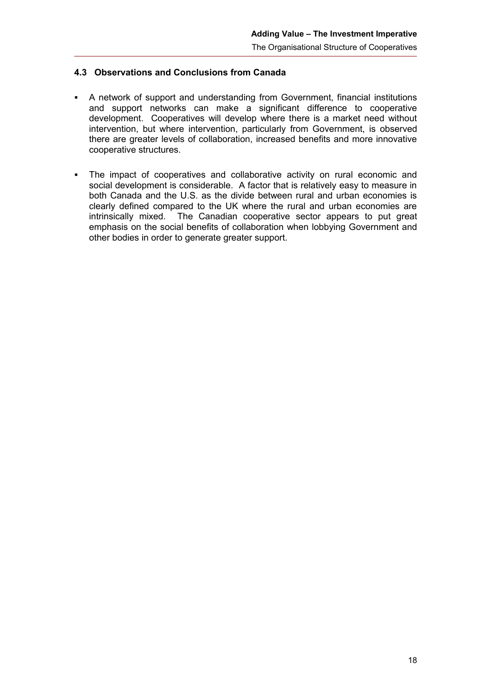# **4.3 Observations and Conclusions from Canada**

- A network of support and understanding from Government, financial institutions and support networks can make a significant difference to cooperative development. Cooperatives will develop where there is a market need without intervention, but where intervention, particularly from Government, is observed there are greater levels of collaboration, increased benefits and more innovative cooperative structures.
- The impact of cooperatives and collaborative activity on rural economic and social development is considerable. A factor that is relatively easy to measure in both Canada and the U.S. as the divide between rural and urban economies is clearly defined compared to the UK where the rural and urban economies are intrinsically mixed. The Canadian cooperative sector appears to put great emphasis on the social benefits of collaboration when lobbying Government and other bodies in order to generate greater support.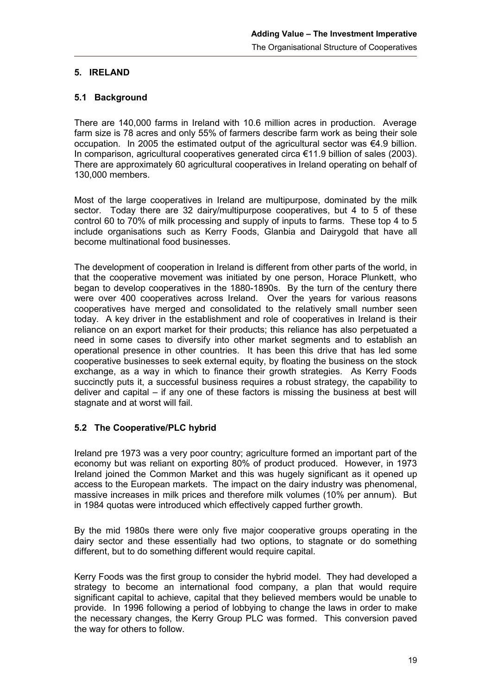### **5. IRELAND**

#### **5.1 Background**

There are 140,000 farms in Ireland with 10.6 million acres in production. Average farm size is 78 acres and only 55% of farmers describe farm work as being their sole occupation. In 2005 the estimated output of the agricultural sector was  $\epsilon$ 4.9 billion. In comparison, agricultural cooperatives generated circa €11.9 billion of sales (2003). There are approximately 60 agricultural cooperatives in Ireland operating on behalf of 130,000 members.

Most of the large cooperatives in Ireland are multipurpose, dominated by the milk sector. Today there are 32 dairy/multipurpose cooperatives, but 4 to 5 of these control 60 to 70% of milk processing and supply of inputs to farms. These top 4 to 5 include organisations such as Kerry Foods, Glanbia and Dairygold that have all become multinational food businesses.

The development of cooperation in Ireland is different from other parts of the world, in that the cooperative movement was initiated by one person, Horace Plunkett, who began to develop cooperatives in the 1880-1890s. By the turn of the century there were over 400 cooperatives across Ireland. Over the years for various reasons cooperatives have merged and consolidated to the relatively small number seen today. A key driver in the establishment and role of cooperatives in Ireland is their reliance on an export market for their products; this reliance has also perpetuated a need in some cases to diversify into other market segments and to establish an operational presence in other countries. It has been this drive that has led some cooperative businesses to seek external equity, by floating the business on the stock exchange, as a way in which to finance their growth strategies. As Kerry Foods succinctly puts it, a successful business requires a robust strategy, the capability to deliver and capital – if any one of these factors is missing the business at best will stagnate and at worst will fail.

# **5.2 The Cooperative/PLC hybrid**

Ireland pre 1973 was a very poor country; agriculture formed an important part of the economy but was reliant on exporting 80% of product produced. However, in 1973 Ireland joined the Common Market and this was hugely significant as it opened up access to the European markets. The impact on the dairy industry was phenomenal, massive increases in milk prices and therefore milk volumes (10% per annum). But in 1984 quotas were introduced which effectively capped further growth.

By the mid 1980s there were only five major cooperative groups operating in the dairy sector and these essentially had two options, to stagnate or do something different, but to do something different would require capital.

Kerry Foods was the first group to consider the hybrid model. They had developed a strategy to become an international food company, a plan that would require significant capital to achieve, capital that they believed members would be unable to provide. In 1996 following a period of lobbying to change the laws in order to make the necessary changes, the Kerry Group PLC was formed. This conversion paved the way for others to follow.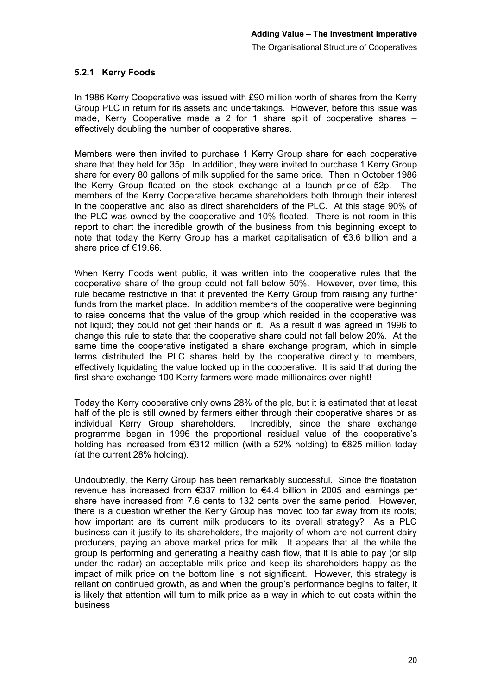#### **5.2.1 Kerry Foods**

In 1986 Kerry Cooperative was issued with £90 million worth of shares from the Kerry Group PLC in return for its assets and undertakings. However, before this issue was made, Kerry Cooperative made a 2 for 1 share split of cooperative shares – effectively doubling the number of cooperative shares.

Members were then invited to purchase 1 Kerry Group share for each cooperative share that they held for 35p. In addition, they were invited to purchase 1 Kerry Group share for every 80 gallons of milk supplied for the same price. Then in October 1986 the Kerry Group floated on the stock exchange at a launch price of 52p. The members of the Kerry Cooperative became shareholders both through their interest in the cooperative and also as direct shareholders of the PLC. At this stage 90% of the PLC was owned by the cooperative and 10% floated. There is not room in this report to chart the incredible growth of the business from this beginning except to note that today the Kerry Group has a market capitalisation of €3.6 billion and a share price of €19.66.

When Kerry Foods went public, it was written into the cooperative rules that the cooperative share of the group could not fall below 50%. However, over time, this rule became restrictive in that it prevented the Kerry Group from raising any further funds from the market place. In addition members of the cooperative were beginning to raise concerns that the value of the group which resided in the cooperative was not liquid; they could not get their hands on it. As a result it was agreed in 1996 to change this rule to state that the cooperative share could not fall below 20%. At the same time the cooperative instigated a share exchange program, which in simple terms distributed the PLC shares held by the cooperative directly to members, effectively liquidating the value locked up in the cooperative. It is said that during the first share exchange 100 Kerry farmers were made millionaires over night!

Today the Kerry cooperative only owns 28% of the plc, but it is estimated that at least half of the plc is still owned by farmers either through their cooperative shares or as individual Kerry Group shareholders. Incredibly, since the share exchange programme began in 1996 the proportional residual value of the cooperative's holding has increased from €312 million (with a 52% holding) to €825 million today (at the current 28% holding).

Undoubtedly, the Kerry Group has been remarkably successful. Since the floatation revenue has increased from €337 million to €4.4 billion in 2005 and earnings per share have increased from 7.6 cents to 132 cents over the same period. However, there is a question whether the Kerry Group has moved too far away from its roots; how important are its current milk producers to its overall strategy? As a PLC business can it justify to its shareholders, the majority of whom are not current dairy producers, paying an above market price for milk. It appears that all the while the group is performing and generating a healthy cash flow, that it is able to pay (or slip under the radar) an acceptable milk price and keep its shareholders happy as the impact of milk price on the bottom line is not significant. However, this strategy is reliant on continued growth, as and when the group's performance begins to falter, it is likely that attention will turn to milk price as a way in which to cut costs within the business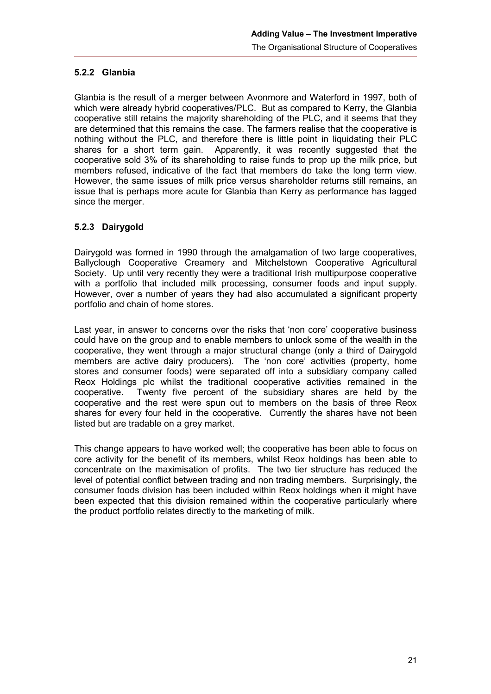## **5.2.2 Glanbia**

Glanbia is the result of a merger between Avonmore and Waterford in 1997, both of which were already hybrid cooperatives/PLC. But as compared to Kerry, the Glanbia cooperative still retains the majority shareholding of the PLC, and it seems that they are determined that this remains the case. The farmers realise that the cooperative is nothing without the PLC, and therefore there is little point in liquidating their PLC shares for a short term gain. Apparently, it was recently suggested that the cooperative sold 3% of its shareholding to raise funds to prop up the milk price, but members refused, indicative of the fact that members do take the long term view. However, the same issues of milk price versus shareholder returns still remains, an issue that is perhaps more acute for Glanbia than Kerry as performance has lagged since the merger.

## **5.2.3 Dairygold**

Dairygold was formed in 1990 through the amalgamation of two large cooperatives, Ballyclough Cooperative Creamery and Mitchelstown Cooperative Agricultural Society. Up until very recently they were a traditional Irish multipurpose cooperative with a portfolio that included milk processing, consumer foods and input supply. However, over a number of years they had also accumulated a significant property portfolio and chain of home stores.

Last year, in answer to concerns over the risks that 'non core' cooperative business could have on the group and to enable members to unlock some of the wealth in the cooperative, they went through a major structural change (only a third of Dairygold members are active dairy producers). The 'non core' activities (property, home stores and consumer foods) were separated off into a subsidiary company called Reox Holdings plc whilst the traditional cooperative activities remained in the cooperative. Twenty five percent of the subsidiary shares are held by the cooperative and the rest were spun out to members on the basis of three Reox shares for every four held in the cooperative. Currently the shares have not been listed but are tradable on a grey market.

This change appears to have worked well; the cooperative has been able to focus on core activity for the benefit of its members, whilst Reox holdings has been able to concentrate on the maximisation of profits. The two tier structure has reduced the level of potential conflict between trading and non trading members. Surprisingly, the consumer foods division has been included within Reox holdings when it might have been expected that this division remained within the cooperative particularly where the product portfolio relates directly to the marketing of milk.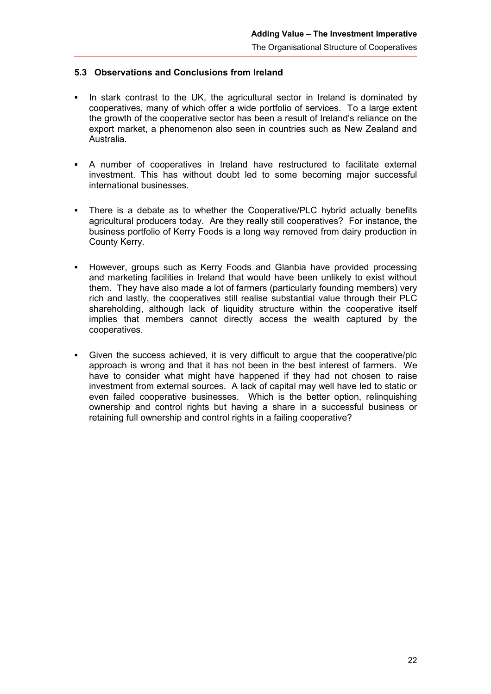### **5.3 Observations and Conclusions from Ireland**

- In stark contrast to the UK, the agricultural sector in Ireland is dominated by cooperatives, many of which offer a wide portfolio of services. To a large extent the growth of the cooperative sector has been a result of Ireland's reliance on the export market, a phenomenon also seen in countries such as New Zealand and Australia.
- A number of cooperatives in Ireland have restructured to facilitate external investment. This has without doubt led to some becoming major successful international businesses.
- There is a debate as to whether the Cooperative/PLC hybrid actually benefits agricultural producers today. Are they really still cooperatives? For instance, the business portfolio of Kerry Foods is a long way removed from dairy production in County Kerry.
- However, groups such as Kerry Foods and Glanbia have provided processing and marketing facilities in Ireland that would have been unlikely to exist without them. They have also made a lot of farmers (particularly founding members) very rich and lastly, the cooperatives still realise substantial value through their PLC shareholding, although lack of liquidity structure within the cooperative itself implies that members cannot directly access the wealth captured by the cooperatives.
- Given the success achieved, it is very difficult to argue that the cooperative/plc approach is wrong and that it has not been in the best interest of farmers. We have to consider what might have happened if they had not chosen to raise investment from external sources. A lack of capital may well have led to static or even failed cooperative businesses. Which is the better option, relinquishing ownership and control rights but having a share in a successful business or retaining full ownership and control rights in a failing cooperative?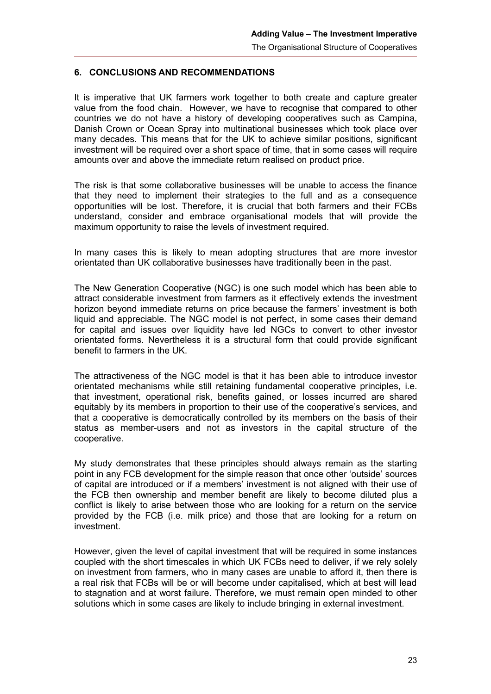#### **6. CONCLUSIONS AND RECOMMENDATIONS**

It is imperative that UK farmers work together to both create and capture greater value from the food chain. However, we have to recognise that compared to other countries we do not have a history of developing cooperatives such as Campina, Danish Crown or Ocean Spray into multinational businesses which took place over many decades. This means that for the UK to achieve similar positions, significant investment will be required over a short space of time, that in some cases will require amounts over and above the immediate return realised on product price.

The risk is that some collaborative businesses will be unable to access the finance that they need to implement their strategies to the full and as a consequence opportunities will be lost. Therefore, it is crucial that both farmers and their FCBs understand, consider and embrace organisational models that will provide the maximum opportunity to raise the levels of investment required.

In many cases this is likely to mean adopting structures that are more investor orientated than UK collaborative businesses have traditionally been in the past.

The New Generation Cooperative (NGC) is one such model which has been able to attract considerable investment from farmers as it effectively extends the investment horizon beyond immediate returns on price because the farmers' investment is both liquid and appreciable. The NGC model is not perfect, in some cases their demand for capital and issues over liquidity have led NGCs to convert to other investor orientated forms. Nevertheless it is a structural form that could provide significant benefit to farmers in the UK.

The attractiveness of the NGC model is that it has been able to introduce investor orientated mechanisms while still retaining fundamental cooperative principles, i.e. that investment, operational risk, benefits gained, or losses incurred are shared equitably by its members in proportion to their use of the cooperative's services, and that a cooperative is democratically controlled by its members on the basis of their status as member-users and not as investors in the capital structure of the cooperative.

My study demonstrates that these principles should always remain as the starting point in any FCB development for the simple reason that once other 'outside' sources of capital are introduced or if a members' investment is not aligned with their use of the FCB then ownership and member benefit are likely to become diluted plus a conflict is likely to arise between those who are looking for a return on the service provided by the FCB (i.e. milk price) and those that are looking for a return on investment.

However, given the level of capital investment that will be required in some instances coupled with the short timescales in which UK FCBs need to deliver, if we rely solely on investment from farmers, who in many cases are unable to afford it, then there is a real risk that FCBs will be or will become under capitalised, which at best will lead to stagnation and at worst failure. Therefore, we must remain open minded to other solutions which in some cases are likely to include bringing in external investment.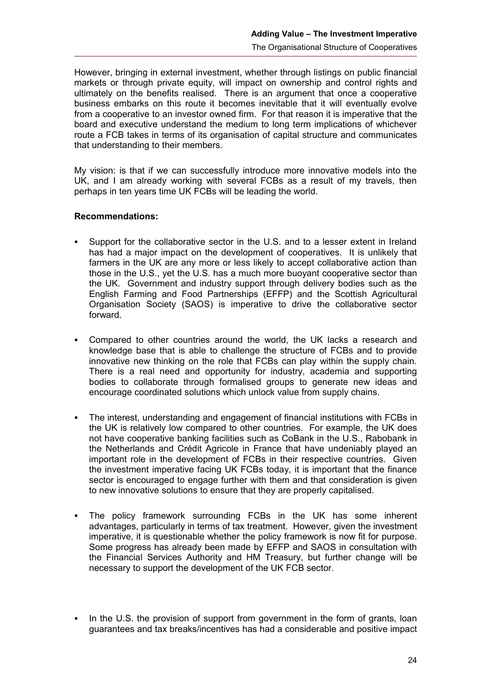However, bringing in external investment, whether through listings on public financial markets or through private equity, will impact on ownership and control rights and ultimately on the benefits realised. There is an argument that once a cooperative business embarks on this route it becomes inevitable that it will eventually evolve from a cooperative to an investor owned firm. For that reason it is imperative that the board and executive understand the medium to long term implications of whichever route a FCB takes in terms of its organisation of capital structure and communicates that understanding to their members.

My vision: is that if we can successfully introduce more innovative models into the UK, and I am already working with several FCBs as a result of my travels, then perhaps in ten years time UK FCBs will be leading the world.

#### <span id="page-29-0"></span>**Recommendations:**

- Support for the collaborative sector in the U.S. and to a lesser extent in Ireland has had a major impact on the development of cooperatives. It is unlikely that farmers in the UK are any more or less likely to accept collaborative action than those in the U.S., yet the U.S. has a much more buoyant cooperative sector than the UK. Government and industry support through delivery bodies such as the English Farming and Food Partnerships (EFFP) and the Scottish Agricultural Organisation Society (SAOS) is imperative to drive the collaborative sector forward.
- Compared to other countries around the world, the UK lacks a research and knowledge base that is able to challenge the structure of FCBs and to provide innovative new thinking on the role that FCBs can play within the supply chain. There is a real need and opportunity for industry, academia and supporting bodies to collaborate through formalised groups to generate new ideas and encourage coordinated solutions which unlock value from supply chains.
- The interest, understanding and engagement of financial institutions with FCBs in the UK is relatively low compared to other countries. For example, the UK does not have cooperative banking facilities such as CoBank in the U.S., Rabobank in the Netherlands and Crédit Agricole in France that have undeniably played an important role in the development of FCBs in their respective countries. Given the investment imperative facing UK FCBs today, it is important that the finance sector is encouraged to engage further with them and that consideration is given to new innovative solutions to ensure that they are properly capitalised.
- The policy framework surrounding FCBs in the UK has some inherent advantages, particularly in terms of tax treatment. However, given the investment imperative, it is questionable whether the policy framework is now fit for purpose. Some progress has already been made by EFFP and SAOS in consultation with the Financial Services Authority and HM Treasury, but further change will be necessary to support the development of the UK FCB sector.
- In the U.S. the provision of support from government in the form of grants, loan guarantees and tax breaks/incentives has had a considerable and positive impact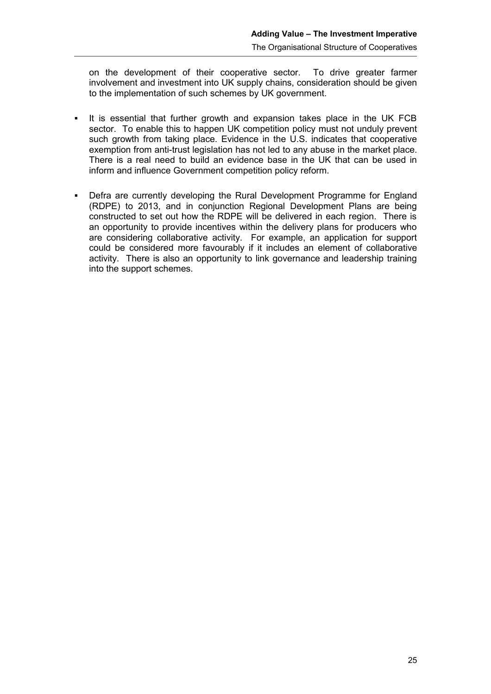on the development of their cooperative sector. To drive greater farmer involvement and investment into UK supply chains, consideration should be given to the implementation of such schemes by UK government.

- It is essential that further growth and expansion takes place in the UK FCB sector. To enable this to happen UK competition policy must not unduly prevent such growth from taking place. Evidence in the U.S. indicates that cooperative exemption from anti-trust legislation has not led to any abuse in the market place. There is a real need to build an evidence base in the UK that can be used in inform and influence Government competition policy reform.
- Defra are currently developing the Rural Development Programme for England (RDPE) to 2013, and in conjunction Regional Development Plans are being constructed to set out how the RDPE will be delivered in each region. There is an opportunity to provide incentives within the delivery plans for producers who are considering collaborative activity. For example, an application for support could be considered more favourably if it includes an element of collaborative activity. There is also an opportunity to link governance and leadership training into the support schemes.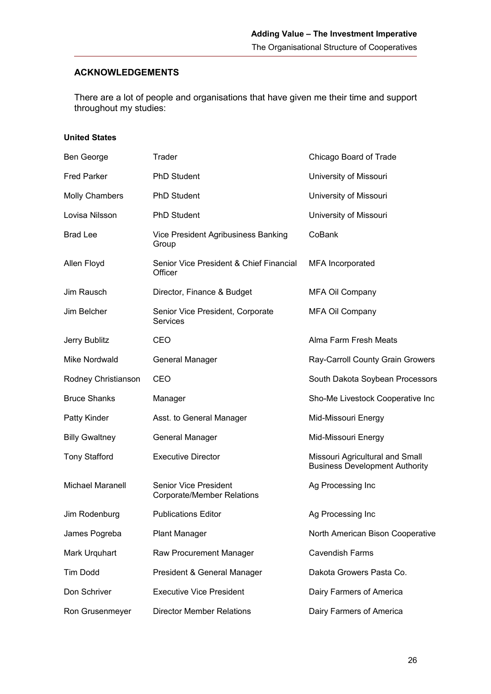#### <span id="page-31-0"></span>**ACKNOWLEDGEMENTS**

There are a lot of people and organisations that have given me their time and support throughout my studies:

#### **United States**

| Ben George              | Trader                                                            | Chicago Board of Trade                                                   |
|-------------------------|-------------------------------------------------------------------|--------------------------------------------------------------------------|
| <b>Fred Parker</b>      | <b>PhD Student</b>                                                | University of Missouri                                                   |
| <b>Molly Chambers</b>   | <b>PhD Student</b>                                                | University of Missouri                                                   |
| Lovisa Nilsson          | <b>PhD Student</b>                                                | University of Missouri                                                   |
| <b>Brad Lee</b>         | Vice President Agribusiness Banking<br>Group                      | CoBank                                                                   |
| Allen Floyd             | Senior Vice President & Chief Financial<br>Officer                | <b>MFA</b> Incorporated                                                  |
| Jim Rausch              | Director, Finance & Budget                                        | <b>MFA Oil Company</b>                                                   |
| Jim Belcher             | Senior Vice President, Corporate<br>Services                      | <b>MFA Oil Company</b>                                                   |
| Jerry Bublitz           | CEO                                                               | Alma Farm Fresh Meats                                                    |
| Mike Nordwald           | General Manager                                                   | Ray-Carroll County Grain Growers                                         |
| Rodney Christianson     | CEO                                                               | South Dakota Soybean Processors                                          |
| <b>Bruce Shanks</b>     | Manager                                                           | Sho-Me Livestock Cooperative Inc                                         |
| Patty Kinder            | Asst. to General Manager                                          | Mid-Missouri Energy                                                      |
| <b>Billy Gwaltney</b>   | <b>General Manager</b>                                            | Mid-Missouri Energy                                                      |
| <b>Tony Stafford</b>    | <b>Executive Director</b>                                         | Missouri Agricultural and Small<br><b>Business Development Authority</b> |
| <b>Michael Maranell</b> | <b>Senior Vice President</b><br><b>Corporate/Member Relations</b> | Ag Processing Inc                                                        |
| Jim Rodenburg           | <b>Publications Editor</b>                                        | Ag Processing Inc                                                        |
| James Pogreba           | <b>Plant Manager</b>                                              | North American Bison Cooperative                                         |
| Mark Urquhart           | Raw Procurement Manager                                           | <b>Cavendish Farms</b>                                                   |
| <b>Tim Dodd</b>         | President & General Manager                                       | Dakota Growers Pasta Co.                                                 |
| Don Schriver            | <b>Executive Vice President</b>                                   | Dairy Farmers of America                                                 |
| Ron Grusenmeyer         | <b>Director Member Relations</b>                                  | Dairy Farmers of America                                                 |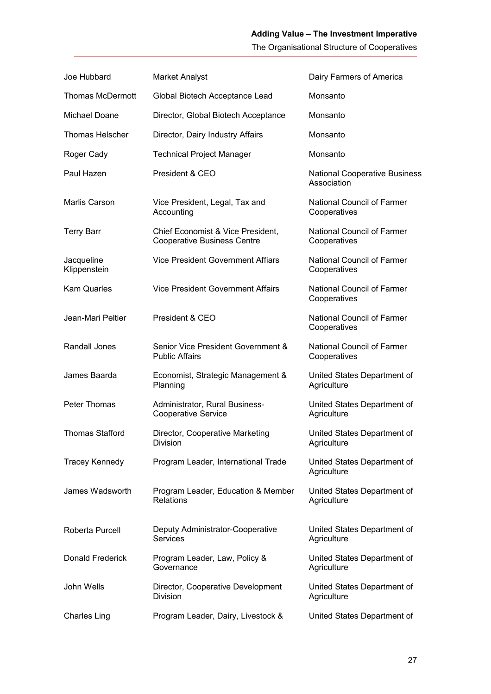The Organisational Structure of Cooperatives

| Joe Hubbard                | <b>Market Analyst</b>                                                   | Dairy Farmers of America                            |
|----------------------------|-------------------------------------------------------------------------|-----------------------------------------------------|
| <b>Thomas McDermott</b>    | Global Biotech Acceptance Lead                                          | Monsanto                                            |
| Michael Doane              | Director, Global Biotech Acceptance                                     | Monsanto                                            |
| <b>Thomas Helscher</b>     | Director, Dairy Industry Affairs                                        | Monsanto                                            |
| Roger Cady                 | <b>Technical Project Manager</b>                                        | Monsanto                                            |
| Paul Hazen                 | President & CEO                                                         | <b>National Cooperative Business</b><br>Association |
| Marlis Carson              | Vice President, Legal, Tax and<br>Accounting                            | <b>National Council of Farmer</b><br>Cooperatives   |
| <b>Terry Barr</b>          | Chief Economist & Vice President,<br><b>Cooperative Business Centre</b> | <b>National Council of Farmer</b><br>Cooperatives   |
| Jacqueline<br>Klippenstein | <b>Vice President Government Affiars</b>                                | <b>National Council of Farmer</b><br>Cooperatives   |
| <b>Kam Quarles</b>         | <b>Vice President Government Affairs</b>                                | National Council of Farmer<br>Cooperatives          |
| Jean-Mari Peltier          | President & CEO                                                         | National Council of Farmer<br>Cooperatives          |
| Randall Jones              | Senior Vice President Government &<br><b>Public Affairs</b>             | National Council of Farmer<br>Cooperatives          |
| James Baarda               | Economist, Strategic Management &<br>Planning                           | United States Department of<br>Agriculture          |
| Peter Thomas               | Administrator, Rural Business-<br><b>Cooperative Service</b>            | United States Department of<br>Agriculture          |
| <b>Thomas Stafford</b>     | Director, Cooperative Marketing<br><b>Division</b>                      | United States Department of<br>Agriculture          |
| <b>Tracey Kennedy</b>      | Program Leader, International Trade                                     | United States Department of<br>Agriculture          |
| James Wadsworth            | Program Leader, Education & Member<br><b>Relations</b>                  | United States Department of<br>Agriculture          |
| Roberta Purcell            | Deputy Administrator-Cooperative<br>Services                            | United States Department of<br>Agriculture          |
| Donald Frederick           | Program Leader, Law, Policy &<br>Governance                             | United States Department of<br>Agriculture          |
| John Wells                 | Director, Cooperative Development<br>Division                           | United States Department of<br>Agriculture          |
| Charles Ling               | Program Leader, Dairy, Livestock &                                      | United States Department of                         |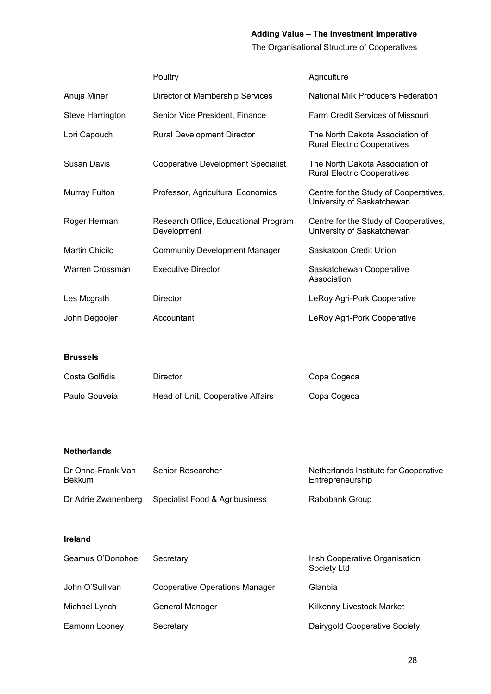# **Adding Value – The Investment Imperative**

The Organisational Structure of Cooperatives

|                                    | Poultry                                             | Agriculture                                                           |
|------------------------------------|-----------------------------------------------------|-----------------------------------------------------------------------|
| Anuja Miner                        | Director of Membership Services                     | <b>National Milk Producers Federation</b>                             |
| Steve Harrington                   | Senior Vice President, Finance                      | Farm Credit Services of Missouri                                      |
| Lori Capouch                       | <b>Rural Development Director</b>                   | The North Dakota Association of<br><b>Rural Electric Cooperatives</b> |
| <b>Susan Davis</b>                 | <b>Cooperative Development Specialist</b>           | The North Dakota Association of<br><b>Rural Electric Cooperatives</b> |
| Murray Fulton                      | Professor, Agricultural Economics                   | Centre for the Study of Cooperatives,<br>University of Saskatchewan   |
| Roger Herman                       | Research Office, Educational Program<br>Development | Centre for the Study of Cooperatives,<br>University of Saskatchewan   |
| Martin Chicilo                     | <b>Community Development Manager</b>                | Saskatoon Credit Union                                                |
| Warren Crossman                    | <b>Executive Director</b>                           | Saskatchewan Cooperative<br>Association                               |
| Les Mcgrath                        | Director                                            | LeRoy Agri-Pork Cooperative                                           |
| John Degoojer                      | Accountant                                          | LeRoy Agri-Pork Cooperative                                           |
|                                    |                                                     |                                                                       |
| <b>Brussels</b>                    |                                                     |                                                                       |
| Costa Golfidis                     | <b>Director</b>                                     | Copa Cogeca                                                           |
| Paulo Gouveia                      | Head of Unit, Cooperative Affairs                   | Copa Cogeca                                                           |
|                                    |                                                     |                                                                       |
| <b>Netherlands</b>                 |                                                     |                                                                       |
| Dr Onno-Frank Van<br><b>Bekkum</b> | Senior Researcher                                   | Netherlands Institute for Cooperative<br>Entrepreneurship             |
| Dr Adrie Zwanenberg                | Specialist Food & Agribusiness                      | Rabobank Group                                                        |

# **Ireland**

| Seamus O'Donohoe | Secretary                      | Irish Cooperative Organisation<br>Society Ltd |
|------------------|--------------------------------|-----------------------------------------------|
| John O'Sullivan  | Cooperative Operations Manager | Glanbia                                       |
| Michael Lynch    | General Manager                | Kilkenny Livestock Market                     |
| Eamonn Looney    | Secretary                      | Dairygold Cooperative Society                 |